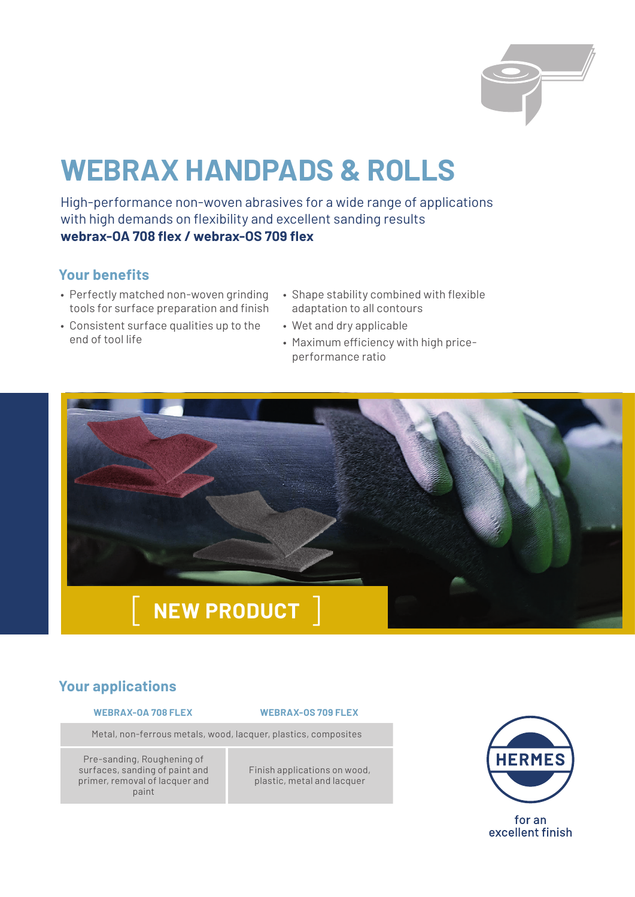# **WEBRAX HANDPADS & ROLLS**

High-performance non-woven abrasives for a wide range of applications with high demands on flexibility and excellent sanding results **webrax-OA 708 flex / webrax-OS 709 flex**

# **Your benefits**

- Perfectly matched non-woven grinding tools for surface preparation and finish
- Consistent surface qualities up to the end of tool life
- Shape stability combined with flexible adaptation to all contours
- Wet and dry applicable
- Maximum efficiency with high priceperformance ratio



# **Your applications**

#### **WEBRAX-OA 708 FLEX WEBRAX-OS 709 FLEX**

Metal, non-ferrous metals, wood, lacquer, plastics, composites

Pre-sanding, Roughening of surfaces, sanding of paint and primer, removal of lacquer and paint

Finish applications on wood, plastic, metal and lacquer



for an excellent finish